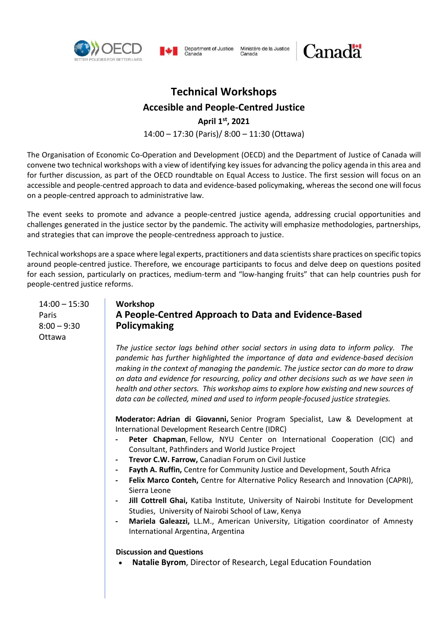



Ministère de la Justice Department of Justice Canada

# Canadä

# **Technical Workshops**

**Accesible and People-Centred Justice**

**April 1st , 2021** 

14:00 – 17:30 (Paris)/ 8:00 – 11:30 (Ottawa)

The Organisation of Economic Co-Operation and Development (OECD) and the Department of Justice of Canada will convene two technical workshops with a view of identifying key issues for advancing the policy agenda in this area and for further discussion, as part of the OECD roundtable on Equal Access to Justice. The first session will focus on an accessible and people-centred approach to data and evidence-based policymaking, whereas the second one will focus on a people-centred approach to administrative law.

The event seeks to promote and advance a people-centred justice agenda, addressing crucial opportunities and challenges generated in the justice sector by the pandemic. The activity will emphasize methodologies, partnerships, and strategies that can improve the people-centredness approach to justice.

Technical workshops are a space where legal experts, practitioners and data scientists share practices on specific topics around people-centred justice. Therefore, we encourage participants to focus and delve deep on questions posited for each session, particularly on practices, medium-term and "low-hanging fruits" that can help countries push for people-centred justice reforms.

14:00 – 15:30 Paris  $8:00 - 9:30$ Ottawa

## **Workshop A People-Centred Approach to Data and Evidence-Based Policymaking**

*The justice sector lags behind other social sectors in using data to inform policy. The pandemic has further highlighted the importance of data and evidence-based decision making in the context of managing the pandemic. The justice sector can do more to draw on data and evidence for resourcing, policy and other decisions such as we have seen in health and other sectors. This workshop aims to explore how existing and new sources of data can be collected, mined and used to inform people-focused justice strategies.* 

**Moderator: Adrian di Giovanni,** Senior Program Specialist, Law & Development at International Development Research Centre (IDRC)

- **- Peter Chapman**, Fellow, NYU Center on International Cooperation (CIC) and Consultant, Pathfinders and World Justice Project
- **- Trevor C.W. Farrow,** Canadian Forum on Civil Justice
- **- Fayth A. Ruffin,** Centre for Community Justice and Development, South Africa
- **- Felix Marco Conteh,** Centre for Alternative Policy Research and Innovation (CAPRI), Sierra Leone
- **- Jill Cottrell Ghai,** Katiba Institute, University of Nairobi Institute for Development Studies, University of Nairobi School of Law, Kenya
- **- Mariela Galeazzi,** LL.M., American University, Litigation coordinator of Amnesty International Argentina, Argentina

### **Discussion and Questions**

**Natalie Byrom**, Director of Research, Legal Education Foundation